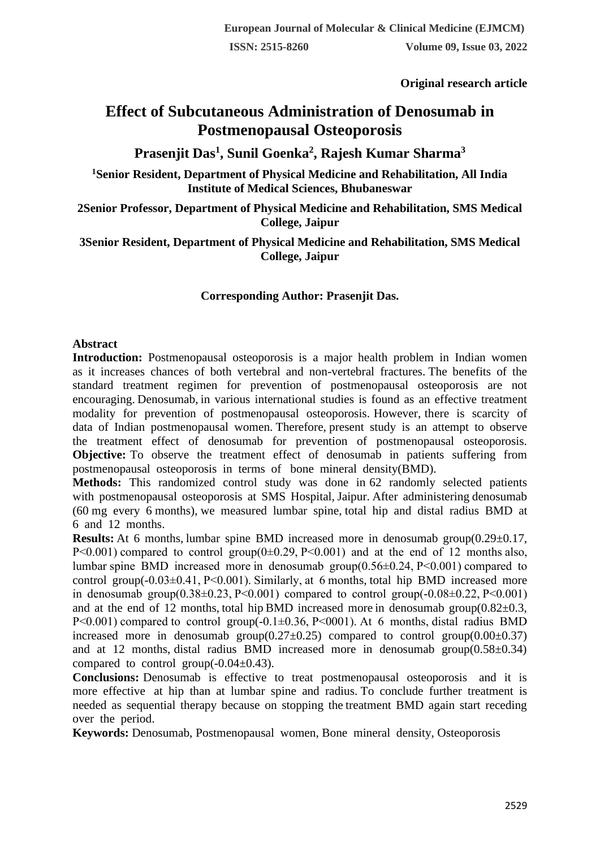**Original research article** 

# **Effect of Subcutaneous Administration of Denosumab in Postmenopausal Osteoporosis**

## **Prasenjit Das<sup>1</sup> , Sunil Goenka<sup>2</sup> , Rajesh Kumar Sharma<sup>3</sup>**

**<sup>1</sup>Senior Resident, Department of Physical Medicine and Rehabilitation, All India Institute of Medical Sciences, Bhubaneswar**

**2Senior Professor, Department of Physical Medicine and Rehabilitation, SMS Medical College, Jaipur**

**3Senior Resident, Department of Physical Medicine and Rehabilitation, SMS Medical College, Jaipur**

### **Corresponding Author: Prasenjit Das.**

#### **Abstract**

**Introduction:** Postmenopausal osteoporosis is a major health problem in Indian women as it increases chances of both vertebral and non-vertebral fractures. The benefits of the standard treatment regimen for prevention of postmenopausal osteoporosis are not encouraging. Denosumab, in various international studies is found as an effective treatment modality for prevention of postmenopausal osteoporosis. However, there is scarcity of data of Indian postmenopausal women. Therefore, present study is an attempt to observe the treatment effect of denosumab for prevention of postmenopausal osteoporosis. **Objective:** To observe the treatment effect of denosumab in patients suffering from postmenopausal osteoporosis in terms of bone mineral density(BMD).

**Methods:** This randomized control study was done in 62 randomly selected patients with postmenopausal osteoporosis at SMS Hospital, Jaipur. After administering denosumab (60 mg every 6 months), we measured lumbar spine, total hip and distal radius BMD at 6 and 12 months.

**Results:** At 6 months, lumbar spine BMD increased more in denosumab group(0.29 $\pm$ 0.17, P $<0.001$ ) compared to control group( $0\pm 0.29$ , P $<0.001$ ) and at the end of 12 months also, lumbar spine BMD increased more in denosumab group(0.56±0.24, P˂0.001) compared to control group( $-0.03\pm0.41$ ,  $P<0.001$ ). Similarly, at 6 months, total hip BMD increased more in denosumab group $(0.38\pm0.23, P<0.001)$  compared to control group $(-0.08\pm0.22, P<0.001)$ and at the end of 12 months, total hip BMD increased more in denosumab group $(0.82\pm0.3,$ P<0.001) compared to control group(-0.1±0.36, P<0001). At 6 months, distal radius BMD increased more in denosumab group( $0.27 \pm 0.25$ ) compared to control group( $0.00 \pm 0.37$ ) and at 12 months, distal radius BMD increased more in denosumab group $(0.58\pm0.34)$ compared to control group( $-0.04\pm0.43$ ).

**Conclusions:** Denosumab is effective to treat postmenopausal osteoporosis and it is more effective at hip than at lumbar spine and radius. To conclude further treatment is needed as sequential therapy because on stopping the treatment BMD again start receding over the period.

**Keywords:** Denosumab, Postmenopausal women, Bone mineral density, Osteoporosis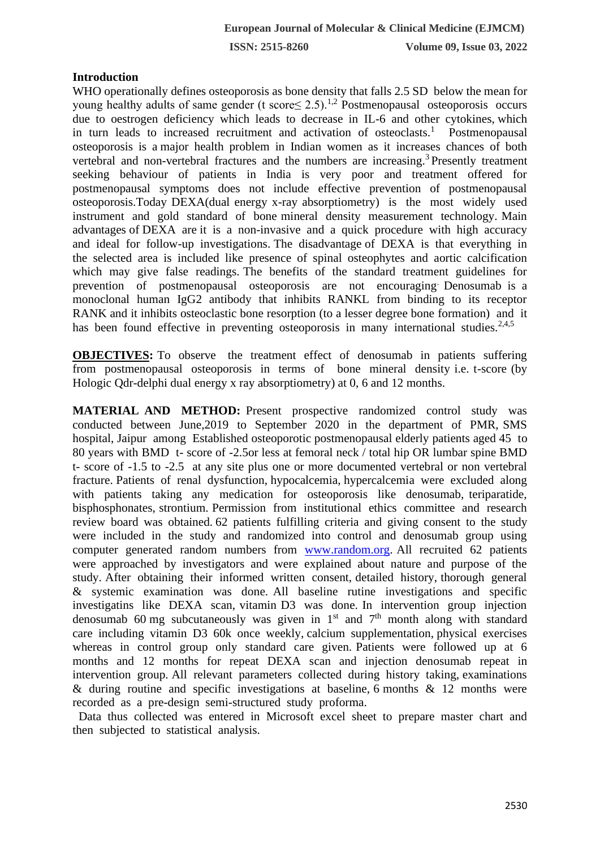### **Introduction**

WHO operationally defines osteoporosis as bone density that falls 2.5 SD below the mean for young healthy adults of same gender (t score  $\leq 2.5$ ).<sup>1,2</sup> Postmenopausal osteoporosis occurs due to oestrogen deficiency which leads to decrease in IL-6 and other cytokines, which in turn leads to increased recruitment and activation of osteoclasts.<sup>1</sup> Postmenopausal osteoporosis is a major health problem in Indian women as it increases chances of both vertebral and non-vertebral fractures and the numbers are increasing.<sup>3</sup> Presently treatment seeking behaviour of patients in India is very poor and treatment offered for postmenopausal symptoms does not include effective prevention of postmenopausal osteoporosis.Today DEXA(dual energy x-ray absorptiometry) is the most widely used instrument and gold standard of bone mineral density measurement technology. Main advantages of DEXA are it is a non-invasive and a quick procedure with high accuracy and ideal for follow-up investigations. The disadvantage of DEXA is that everything in the selected area is included like presence of spinal osteophytes and aortic calcification which may give false readings. The benefits of the standard treatment guidelines for prevention of postmenopausal osteoporosis are not encouraging. Denosumab is a monoclonal human IgG2 antibody that inhibits RANKL from binding to its receptor RANK and it inhibits osteoclastic bone resorption (to a lesser degree bone formation) and it has been found effective in preventing osteoporosis in many international studies.<sup>2,4,5</sup>

**OBJECTIVES:** To observe the treatment effect of denosumab in patients suffering from postmenopausal osteoporosis in terms of bone mineral density i.e. t-score (by Hologic Qdr-delphi dual energy x ray absorptiometry) at 0, 6 and 12 months.

**MATERIAL AND METHOD:** Present prospective randomized control study was conducted between June,2019 to September 2020 in the department of PMR, SMS hospital, Jaipur among Established osteoporotic postmenopausal elderly patients aged 45 to 80 years with BMD t- score of -2.5or less at femoral neck / total hip OR lumbar spine BMD t- score of -1.5 to -2.5 at any site plus one or more documented vertebral or non vertebral fracture. Patients of renal dysfunction, hypocalcemia, hypercalcemia were excluded along with patients taking any medication for osteoporosis like denosumab, teriparatide, bisphosphonates, strontium. Permission from institutional ethics committee and research review board was obtained. 62 patients fulfilling criteria and giving consent to the study were included in the study and randomized into control and denosumab group using computer generated random numbers from [www.random.org.](http://www.random.org/) All recruited 62 patients were approached by investigators and were explained about nature and purpose of the study. After obtaining their informed written consent, detailed history, thorough general & systemic examination was done. All baseline rutine investigations and specific investigatins like DEXA scan, vitamin D3 was done. In intervention group injection denosumab 60 mg subcutaneously was given in  $1<sup>st</sup>$  and  $7<sup>th</sup>$  month along with standard care including vitamin D3 60k once weekly, calcium supplementation, physical exercises whereas in control group only standard care given. Patients were followed up at 6 months and 12 months for repeat DEXA scan and injection denosumab repeat in intervention group. All relevant parameters collected during history taking, examinations & during routine and specific investigations at baseline, 6 months & 12 months were recorded as a pre-design semi-structured study proforma.

 Data thus collected was entered in Microsoft excel sheet to prepare master chart and then subjected to statistical analysis.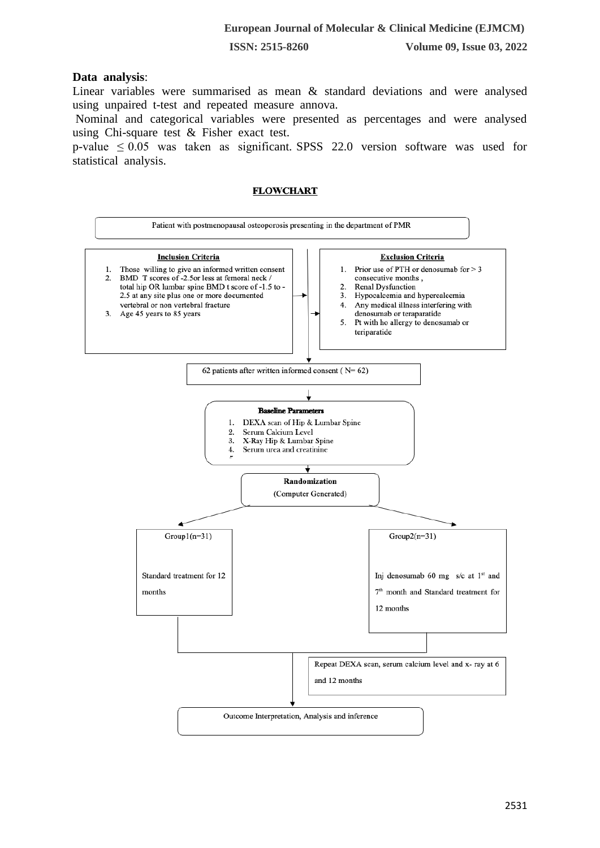#### **Data analysis**:

Linear variables were summarised as mean & standard deviations and were analysed using unpaired t-test and repeated measure annova.

Nominal and categorical variables were presented as percentages and were analysed using Chi-square test & Fisher exact test.

p-value  $\leq 0.05$  was taken as significant. SPSS 22.0 version software was used for statistical analysis.

#### **FLOWCHART**

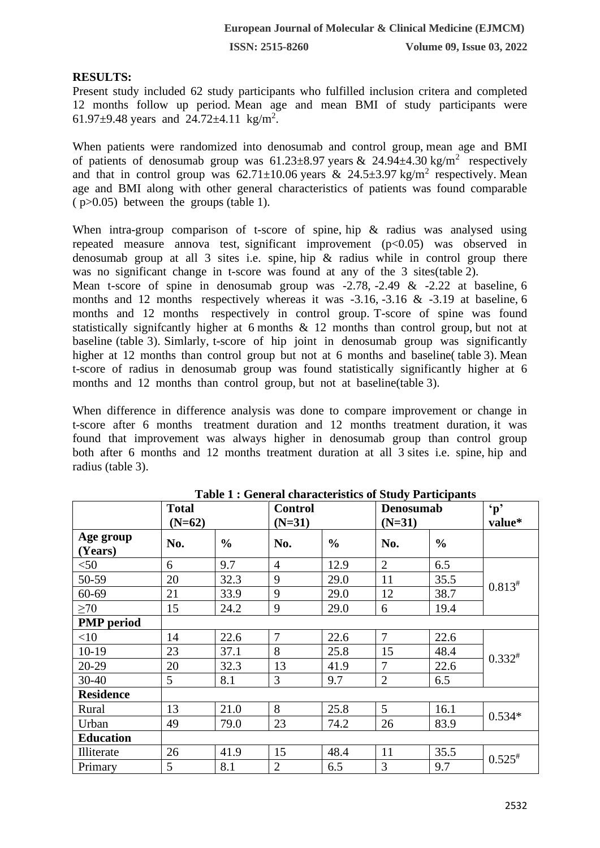#### **RESULTS:**

Present study included 62 study participants who fulfilled inclusion critera and completed 12 months follow up period. Mean age and mean BMI of study participants were 61.97 $\pm$ 9.48 years and 24.72 $\pm$ 4.11 kg/m<sup>2</sup>.

When patients were randomized into denosumab and control group, mean age and BMI of patients of denosumab group was  $61.23 \pm 8.97$  years &  $24.94 \pm 4.30$  kg/m<sup>2</sup> respectively and that in control group was  $62.71 \pm 10.06$  years &  $24.5 \pm 3.97$  kg/m<sup>2</sup> respectively. Mean age and BMI along with other general characteristics of patients was found comparable ( p>0.05) between the groups (table 1).

When intra-group comparison of t-score of spine, hip & radius was analysed using repeated measure annova test, significant improvement (p<0.05) was observed in denosumab group at all 3 sites i.e. spine, hip & radius while in control group there was no significant change in t-score was found at any of the 3 sites(table 2).

Mean t-score of spine in denosumab group was -2.78, -2.49 & -2.22 at baseline, 6 months and 12 months respectively whereas it was -3.16, -3.16 & -3.19 at baseline, 6 months and 12 months respectively in control group. T-score of spine was found statistically signifcantly higher at 6 months & 12 months than control group, but not at baseline (table 3). Simlarly, t-score of hip joint in denosumab group was significantly higher at 12 months than control group but not at 6 months and baseline (table 3). Mean t-score of radius in denosumab group was found statistically significantly higher at 6 months and 12 months than control group, but not at baseline(table 3).

When difference in difference analysis was done to compare improvement or change in t-score after 6 months treatment duration and 12 months treatment duration, it was found that improvement was always higher in denosumab group than control group both after 6 months and 12 months treatment duration at all 3 sites i.e. spine, hip and radius (table 3).

|                      | <b>Total</b>   |               | <b>Control</b> |               | Denosumab       |               | $\mathbf{p}$ |
|----------------------|----------------|---------------|----------------|---------------|-----------------|---------------|--------------|
|                      | $(N=62)$       |               | $(N=31)$       |               | $(N=31)$        |               | value*       |
| Age group<br>(Years) | No.            | $\frac{0}{0}$ | No.            | $\frac{0}{0}$ | No.             | $\frac{0}{0}$ |              |
| $<$ 50               | 6              | 9.7           | $\overline{4}$ | 12.9          | $\overline{2}$  | 6.5           |              |
| 50-59                | 20             | 32.3          | 9              | 29.0          | 11              | 35.5          | $0.813*$     |
| 60-69                | 21             | 33.9          | 9              | 29.0          | 12              | 38.7          |              |
| $\geq 70$            | 15             | 24.2          | 9              | 29.0          | 6               | 19.4          |              |
| <b>PMP</b> period    |                |               |                |               |                 |               |              |
| <10                  | 14             | 22.6          | $\overline{7}$ | 22.6          | $\overline{7}$  | 22.6          | $0.332^{#}$  |
| $10-19$              | 23             | 37.1          | 8              | 25.8          | 15              | 48.4          |              |
| 20-29                | 20             | 32.3          | 13             | 41.9          | $\overline{7}$  | 22.6          |              |
| $30 - 40$            | 5 <sup>5</sup> | 8.1           | 3              | 9.7           | $\overline{2}$  | 6.5           |              |
| <b>Residence</b>     |                |               |                |               |                 |               |              |
| Rural                | 13             | 21.0          | 8              | 25.8          | $5\overline{)}$ | 16.1          |              |
| Urban                | 49             | 79.0          | 23             | 74.2          | 26              | 83.9          | $0.534*$     |
| <b>Education</b>     |                |               |                |               |                 |               |              |
| Illiterate           | 26             | 41.9          | 15             | 48.4          | 11              | 35.5          | $0.525^{*}$  |
| Primary              | 5              | 8.1           | $\overline{2}$ | 6.5           | $\overline{3}$  | 9.7           |              |

**Table 1 : General characteristics of Study Participants**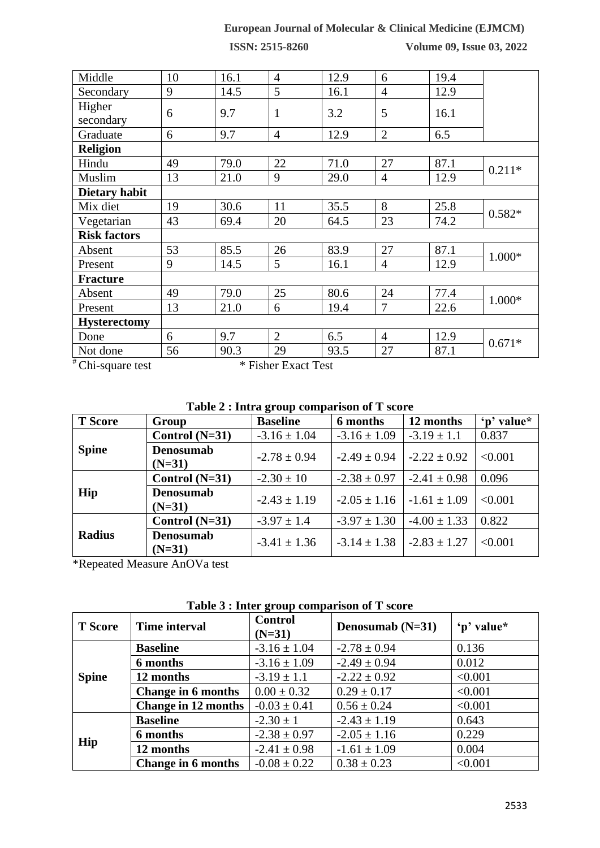## **European Journal of Molecular & Clinical Medicine (EJMCM)**

**ISSN: 2515-8260 Volume 09, Issue 03, 2022**

| Middle               | 10 | 16.1 | $\overline{4}$      | 12.9 | 6              | 19.4 |          |
|----------------------|----|------|---------------------|------|----------------|------|----------|
| Secondary            | 9  | 14.5 | 5                   | 16.1 | $\overline{4}$ | 12.9 |          |
| Higher               |    |      |                     |      |                |      |          |
| secondary            | 6  | 9.7  | 1                   | 3.2  | 5              | 16.1 |          |
| Graduate             | 6  | 9.7  | $\overline{4}$      | 12.9 | $\overline{2}$ | 6.5  |          |
| <b>Religion</b>      |    |      |                     |      |                |      |          |
| Hindu                | 49 | 79.0 | 22                  | 71.0 | 27             | 87.1 | $0.211*$ |
| Muslim               | 13 | 21.0 | 9                   | 29.0 | $\overline{4}$ | 12.9 |          |
| <b>Dietary habit</b> |    |      |                     |      |                |      |          |
| Mix diet             | 19 | 30.6 | 11                  | 35.5 | 8              | 25.8 | $0.582*$ |
| Vegetarian           | 43 | 69.4 | 20                  | 64.5 | 23             | 74.2 |          |
| <b>Risk factors</b>  |    |      |                     |      |                |      |          |
| Absent               | 53 | 85.5 | 26                  | 83.9 | 27             | 87.1 |          |
| Present              | 9  | 14.5 | 5                   | 16.1 | $\overline{4}$ | 12.9 | 1.000*   |
| <b>Fracture</b>      |    |      |                     |      |                |      |          |
| Absent               | 49 | 79.0 | 25                  | 80.6 | 24             | 77.4 | 1.000*   |
| Present              | 13 | 21.0 | 6                   | 19.4 | $\tau$         | 22.6 |          |
| <b>Hysterectomy</b>  |    |      |                     |      |                |      |          |
| Done                 | 6  | 9.7  | $\overline{2}$      | 6.5  | $\overline{4}$ | 12.9 | $0.671*$ |
| Not done             | 56 | 90.3 | 29                  | 93.5 | 27             | 87.1 |          |
| # Chi-square test    |    |      | * Fisher Exact Test |      |                |      |          |

**Table 2 : Intra group comparison of T score**

| <b>T</b> Score | Group                        | $\mathbf{\sigma}$<br><b>Baseline</b> | 6 months         | 12 months                         | 'n' value* |
|----------------|------------------------------|--------------------------------------|------------------|-----------------------------------|------------|
| <b>Spine</b>   | Control $(N=31)$             | $-3.16 \pm 1.04$                     | $-3.16 \pm 1.09$ | $-3.19 \pm 1.1$                   | 0.837      |
|                | <b>Denosumab</b><br>$(N=31)$ | $-2.78 \pm 0.94$                     | $-2.49 \pm 0.94$ | $-2.22 \pm 0.92$                  | < 0.001    |
| Hip            | Control $(N=31)$             | $-2.30 \pm 10$                       | $-2.38 \pm 0.97$ | $-2.41 \pm 0.98$                  | 0.096      |
|                | <b>Denosumab</b><br>$(N=31)$ | $-2.43 \pm 1.19$                     |                  | $-2.05 \pm 1.16$ $-1.61 \pm 1.09$ | < 0.001    |
|                | Control $(N=31)$             | $-3.97 \pm 1.4$                      | $-3.97 \pm 1.30$ | $-4.00 \pm 1.33$                  | 0.822      |
| <b>Radius</b>  | <b>Denosumab</b><br>$(N=31)$ | $-3.41 \pm 1.36$                     | $-3.14 \pm 1.38$ | $-2.83 \pm 1.27$                  | < 0.001    |

\*Repeated Measure AnOVa test

| <b>T</b> Score | <b>Time interval</b>       | <b>Control</b><br>$(N=31)$ | Denosumab $(N=31)$ | 'p' value* |
|----------------|----------------------------|----------------------------|--------------------|------------|
| <b>Spine</b>   | <b>Baseline</b>            | $-3.16 \pm 1.04$           | $-2.78 \pm 0.94$   | 0.136      |
|                | 6 months                   | $-3.16 \pm 1.09$           | $-2.49 \pm 0.94$   | 0.012      |
|                | 12 months                  | $-3.19 \pm 1.1$            | $-2.22 \pm 0.92$   | < 0.001    |
|                | Change in 6 months         | $0.00 \pm 0.32$            | $0.29 \pm 0.17$    | < 0.001    |
|                | <b>Change in 12 months</b> | $-0.03 \pm 0.41$           | $0.56 \pm 0.24$    | < 0.001    |
| Hip            | <b>Baseline</b>            | $-2.30 \pm 1$              | $-2.43 \pm 1.19$   | 0.643      |
|                | 6 months                   | $-2.38 \pm 0.97$           | $-2.05 \pm 1.16$   | 0.229      |
|                | 12 months                  | $-2.41 \pm 0.98$           | $-1.61 \pm 1.09$   | 0.004      |
|                | Change in 6 months         | $-0.08 \pm 0.22$           | $0.38 \pm 0.23$    | < 0.001    |

**Table 3 : Inter group comparison of T score**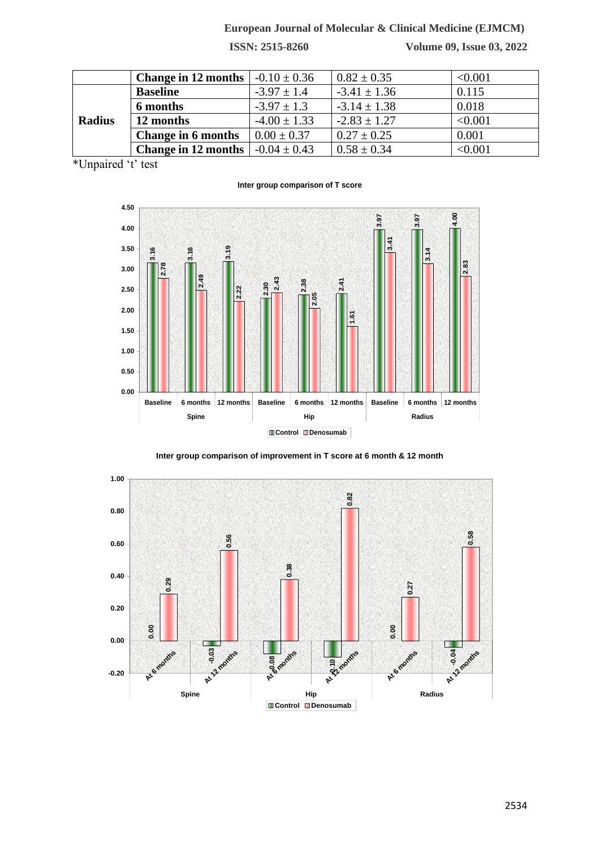### **European Journal of Molecular & Clinical Medicine (EJMCM)**

**ISSN: 2515-8260 Volume 09, Issue 03, 2022**

|               | <b>Change in 12 months</b> | $-0.10 \pm 0.36$ | $0.82 \pm 0.35$  | < 0.001 |
|---------------|----------------------------|------------------|------------------|---------|
|               | <b>Baseline</b>            | $-3.97 \pm 1.4$  | $-3.41 \pm 1.36$ | 0.115   |
|               | 6 months                   | $-3.97 \pm 1.3$  | $-3.14 \pm 1.38$ | 0.018   |
| <b>Radius</b> | 12 months                  | $-4.00 \pm 1.33$ | $-2.83 \pm 1.27$ | < 0.001 |
|               | Change in 6 months         | $0.00 \pm 0.37$  | $0.27 \pm 0.25$  | 0.001   |
|               | <b>Change in 12 months</b> | $-0.04 \pm 0.43$ | $0.58 \pm 0.34$  | < 0.001 |

\*Unpaired 't' test

#### **Inter group comparison of T score**



**Inter group comparison of improvement in T score at 6 month & 12 month**

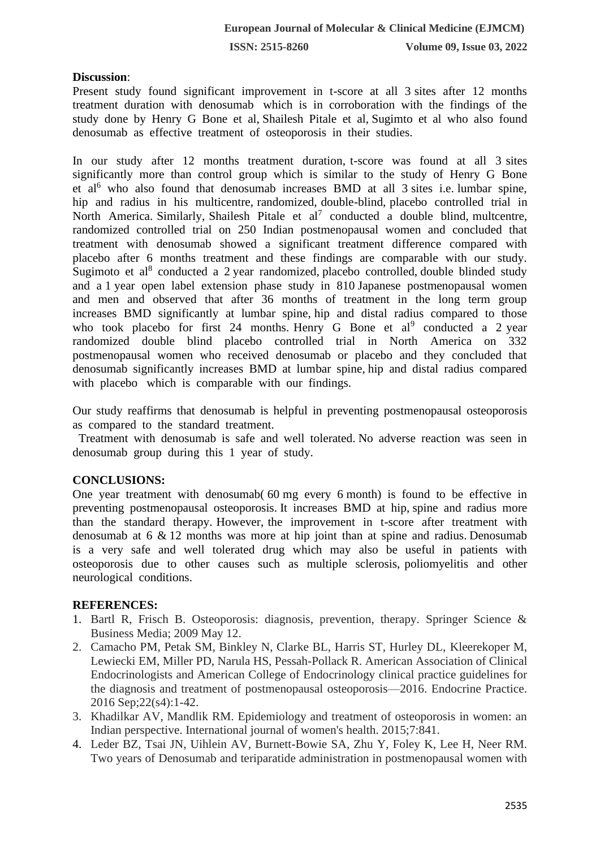#### **Discussion**:

Present study found significant improvement in t-score at all 3 sites after 12 months treatment duration with denosumab which is in corroboration with the findings of the study done by Henry G Bone et al, Shailesh Pitale et al, Sugimto et al who also found denosumab as effective treatment of osteoporosis in their studies.

In our study after 12 months treatment duration, t-score was found at all 3 sites significantly more than control group which is similar to the study of Henry G Bone et al<sup>6</sup> who also found that denosumab increases BMD at all 3 sites i.e. lumbar spine, hip and radius in his multicentre, randomized, double-blind, placebo controlled trial in North America. Similarly, Shailesh Pitale et  $al^7$  conducted a double blind, multcentre, randomized controlled trial on 250 Indian postmenopausal women and concluded that treatment with denosumab showed a significant treatment difference compared with placebo after 6 months treatment and these findings are comparable with our study. Sugimoto et al<sup>8</sup> conducted a 2 year randomized, placebo controlled, double blinded study and a 1 year open label extension phase study in 810 Japanese postmenopausal women and men and observed that after 36 months of treatment in the long term group increases BMD significantly at lumbar spine, hip and distal radius compared to those who took placebo for first  $24$  months. Henry G Bone et al<sup>9</sup> conducted a 2 year randomized double blind placebo controlled trial in North America on 332 postmenopausal women who received denosumab or placebo and they concluded that denosumab significantly increases BMD at lumbar spine, hip and distal radius compared with placebo which is comparable with our findings.

Our study reaffirms that denosumab is helpful in preventing postmenopausal osteoporosis as compared to the standard treatment.

 Treatment with denosumab is safe and well tolerated. No adverse reaction was seen in denosumab group during this 1 year of study.

#### **CONCLUSIONS:**

One year treatment with denosumab( 60 mg every 6 month) is found to be effective in preventing postmenopausal osteoporosis. It increases BMD at hip, spine and radius more than the standard therapy. However, the improvement in t-score after treatment with denosumab at 6 & 12 months was more at hip joint than at spine and radius. Denosumab is a very safe and well tolerated drug which may also be useful in patients with osteoporosis due to other causes such as multiple sclerosis, poliomyelitis and other neurological conditions.

#### **REFERENCES:**

- 1. Bartl R, Frisch B. Osteoporosis: diagnosis, prevention, therapy. Springer Science & Business Media; 2009 May 12.
- 2. Camacho PM, Petak SM, Binkley N, Clarke BL, Harris ST, Hurley DL, Kleerekoper M, Lewiecki EM, Miller PD, Narula HS, Pessah-Pollack R. American Association of Clinical Endocrinologists and American College of Endocrinology clinical practice guidelines for the diagnosis and treatment of postmenopausal osteoporosis—2016. Endocrine Practice. 2016 Sep;22(s4):1-42.
- 3. Khadilkar AV, Mandlik RM. Epidemiology and treatment of osteoporosis in women: an Indian perspective. International journal of women's health. 2015;7:841.
- 4. Leder BZ, Tsai JN, Uihlein AV, Burnett-Bowie SA, Zhu Y, Foley K, Lee H, Neer RM. Two years of Denosumab and teriparatide administration in postmenopausal women with